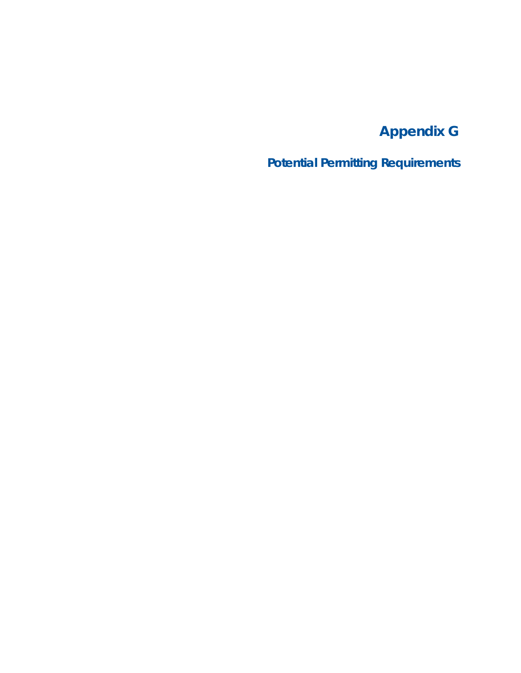# **Appendix G**

**Potential Permitting Requirements**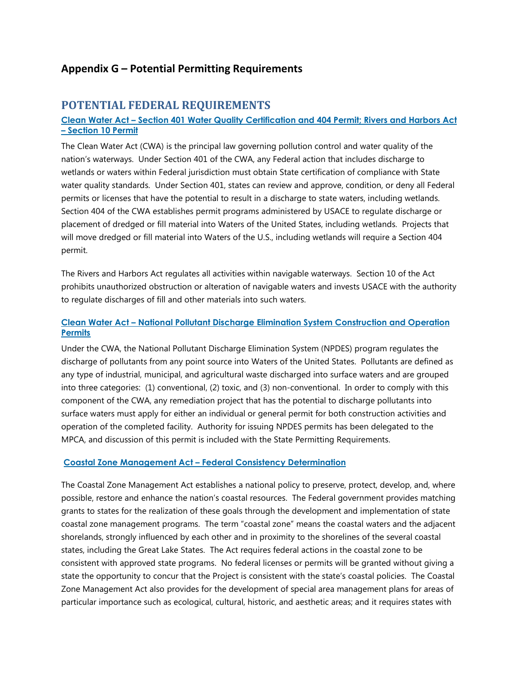## Appendix G – Potential Permitting Requirements

## POTENTIAL FEDERAL REQUIREMENTS

#### Clean Water Act – Section 401 Water Quality Certification and 404 Permit; Rivers and Harbors Act – Section 10 Permit

The Clean Water Act (CWA) is the principal law governing pollution control and water quality of the nation's waterways. Under Section 401 of the CWA, any Federal action that includes discharge to wetlands or waters within Federal jurisdiction must obtain State certification of compliance with State water quality standards. Under Section 401, states can review and approve, condition, or deny all Federal permits or licenses that have the potential to result in a discharge to state waters, including wetlands. Section 404 of the CWA establishes permit programs administered by USACE to regulate discharge or placement of dredged or fill material into Waters of the United States, including wetlands. Projects that will move dredged or fill material into Waters of the U.S., including wetlands will require a Section 404 permit.

The Rivers and Harbors Act regulates all activities within navigable waterways. Section 10 of the Act prohibits unauthorized obstruction or alteration of navigable waters and invests USACE with the authority to regulate discharges of fill and other materials into such waters.

## Clean Water Act – National Pollutant Discharge Elimination System Construction and Operation **Permits**

Under the CWA, the National Pollutant Discharge Elimination System (NPDES) program regulates the discharge of pollutants from any point source into Waters of the United States. Pollutants are defined as any type of industrial, municipal, and agricultural waste discharged into surface waters and are grouped into three categories: (1) conventional, (2) toxic, and (3) non-conventional. In order to comply with this component of the CWA, any remediation project that has the potential to discharge pollutants into surface waters must apply for either an individual or general permit for both construction activities and operation of the completed facility. Authority for issuing NPDES permits has been delegated to the MPCA, and discussion of this permit is included with the State Permitting Requirements.

## Coastal Zone Management Act – Federal Consistency Determination

The Coastal Zone Management Act establishes a national policy to preserve, protect, develop, and, where possible, restore and enhance the nation's coastal resources. The Federal government provides matching grants to states for the realization of these goals through the development and implementation of state coastal zone management programs. The term "coastal zone" means the coastal waters and the adjacent shorelands, strongly influenced by each other and in proximity to the shorelines of the several coastal states, including the Great Lake States. The Act requires federal actions in the coastal zone to be consistent with approved state programs. No federal licenses or permits will be granted without giving a state the opportunity to concur that the Project is consistent with the state's coastal policies. The Coastal Zone Management Act also provides for the development of special area management plans for areas of particular importance such as ecological, cultural, historic, and aesthetic areas; and it requires states with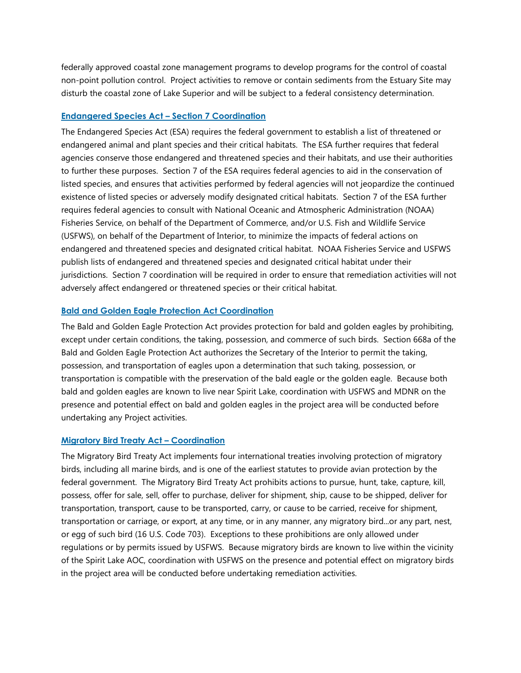federally approved coastal zone management programs to develop programs for the control of coastal non-point pollution control. Project activities to remove or contain sediments from the Estuary Site may disturb the coastal zone of Lake Superior and will be subject to a federal consistency determination.

#### Endangered Species Act – Section 7 Coordination

The Endangered Species Act (ESA) requires the federal government to establish a list of threatened or endangered animal and plant species and their critical habitats. The ESA further requires that federal agencies conserve those endangered and threatened species and their habitats, and use their authorities to further these purposes. Section 7 of the ESA requires federal agencies to aid in the conservation of listed species, and ensures that activities performed by federal agencies will not jeopardize the continued existence of listed species or adversely modify designated critical habitats. Section 7 of the ESA further requires federal agencies to consult with National Oceanic and Atmospheric Administration (NOAA) Fisheries Service, on behalf of the Department of Commerce, and/or U.S. Fish and Wildlife Service (USFWS), on behalf of the Department of Interior, to minimize the impacts of federal actions on endangered and threatened species and designated critical habitat. NOAA Fisheries Service and USFWS publish lists of endangered and threatened species and designated critical habitat under their jurisdictions. Section 7 coordination will be required in order to ensure that remediation activities will not adversely affect endangered or threatened species or their critical habitat.

#### Bald and Golden Eagle Protection Act Coordination

The Bald and Golden Eagle Protection Act provides protection for bald and golden eagles by prohibiting, except under certain conditions, the taking, possession, and commerce of such birds. Section 668a of the Bald and Golden Eagle Protection Act authorizes the Secretary of the Interior to permit the taking, possession, and transportation of eagles upon a determination that such taking, possession, or transportation is compatible with the preservation of the bald eagle or the golden eagle. Because both bald and golden eagles are known to live near Spirit Lake, coordination with USFWS and MDNR on the presence and potential effect on bald and golden eagles in the project area will be conducted before undertaking any Project activities.

#### Migratory Bird Treaty Act – Coordination

The Migratory Bird Treaty Act implements four international treaties involving protection of migratory birds, including all marine birds, and is one of the earliest statutes to provide avian protection by the federal government. The Migratory Bird Treaty Act prohibits actions to pursue, hunt, take, capture, kill, possess, offer for sale, sell, offer to purchase, deliver for shipment, ship, cause to be shipped, deliver for transportation, transport, cause to be transported, carry, or cause to be carried, receive for shipment, transportation or carriage, or export, at any time, or in any manner, any migratory bird...or any part, nest, or egg of such bird (16 U.S. Code 703). Exceptions to these prohibitions are only allowed under regulations or by permits issued by USFWS. Because migratory birds are known to live within the vicinity of the Spirit Lake AOC, coordination with USFWS on the presence and potential effect on migratory birds in the project area will be conducted before undertaking remediation activities.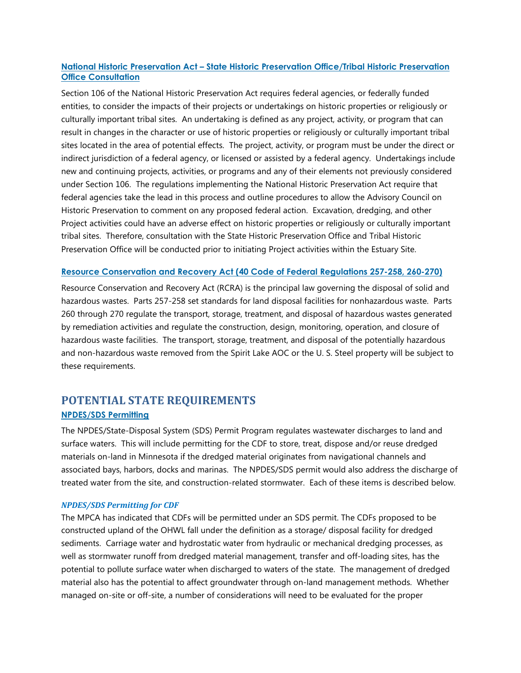## National Historic Preservation Act – State Historic Preservation Office/Tribal Historic Preservation **Office Consultation**

Section 106 of the National Historic Preservation Act requires federal agencies, or federally funded entities, to consider the impacts of their projects or undertakings on historic properties or religiously or culturally important tribal sites. An undertaking is defined as any project, activity, or program that can result in changes in the character or use of historic properties or religiously or culturally important tribal sites located in the area of potential effects. The project, activity, or program must be under the direct or indirect jurisdiction of a federal agency, or licensed or assisted by a federal agency. Undertakings include new and continuing projects, activities, or programs and any of their elements not previously considered under Section 106. The regulations implementing the National Historic Preservation Act require that federal agencies take the lead in this process and outline procedures to allow the Advisory Council on Historic Preservation to comment on any proposed federal action. Excavation, dredging, and other Project activities could have an adverse effect on historic properties or religiously or culturally important tribal sites. Therefore, consultation with the State Historic Preservation Office and Tribal Historic Preservation Office will be conducted prior to initiating Project activities within the Estuary Site.

#### Resource Conservation and Recovery Act (40 Code of Federal Regulations 257-258, 260-270)

Resource Conservation and Recovery Act (RCRA) is the principal law governing the disposal of solid and hazardous wastes. Parts 257-258 set standards for land disposal facilities for nonhazardous waste. Parts 260 through 270 regulate the transport, storage, treatment, and disposal of hazardous wastes generated by remediation activities and regulate the construction, design, monitoring, operation, and closure of hazardous waste facilities. The transport, storage, treatment, and disposal of the potentially hazardous and non-hazardous waste removed from the Spirit Lake AOC or the U. S. Steel property will be subject to these requirements.

## POTENTIAL STATE REQUIREMENTS

#### NPDES/SDS Permitting

The NPDES/State-Disposal System (SDS) Permit Program regulates wastewater discharges to land and surface waters. This will include permitting for the CDF to store, treat, dispose and/or reuse dredged materials on-land in Minnesota if the dredged material originates from navigational channels and associated bays, harbors, docks and marinas. The NPDES/SDS permit would also address the discharge of treated water from the site, and construction-related stormwater. Each of these items is described below.

#### NPDES/SDS Permitting for CDF

The MPCA has indicated that CDFs will be permitted under an SDS permit. The CDFs proposed to be constructed upland of the OHWL fall under the definition as a storage/ disposal facility for dredged sediments. Carriage water and hydrostatic water from hydraulic or mechanical dredging processes, as well as stormwater runoff from dredged material management, transfer and off-loading sites, has the potential to pollute surface water when discharged to waters of the state. The management of dredged material also has the potential to affect groundwater through on-land management methods. Whether managed on-site or off-site, a number of considerations will need to be evaluated for the proper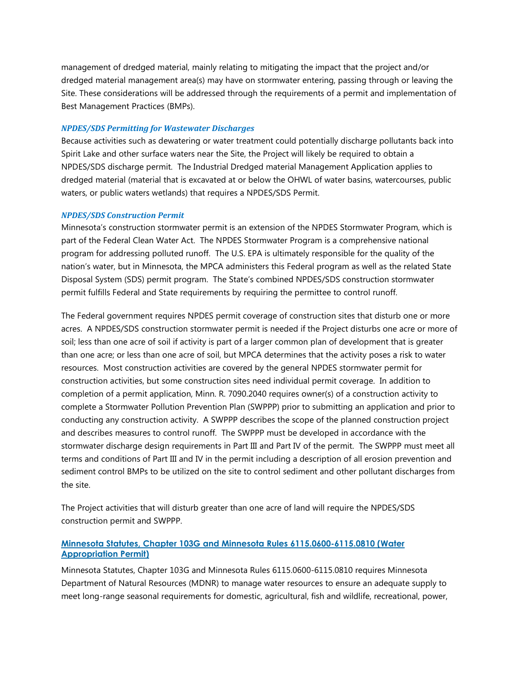management of dredged material, mainly relating to mitigating the impact that the project and/or dredged material management area(s) may have on stormwater entering, passing through or leaving the Site. These considerations will be addressed through the requirements of a permit and implementation of Best Management Practices (BMPs).

#### NPDES/SDS Permitting for Wastewater Discharges

Because activities such as dewatering or water treatment could potentially discharge pollutants back into Spirit Lake and other surface waters near the Site, the Project will likely be required to obtain a NPDES/SDS discharge permit. The Industrial Dredged material Management Application applies to dredged material (material that is excavated at or below the OHWL of water basins, watercourses, public waters, or public waters wetlands) that requires a NPDES/SDS Permit.

#### NPDES/SDS Construction Permit

Minnesota's construction stormwater permit is an extension of the NPDES Stormwater Program, which is part of the Federal Clean Water Act. The NPDES Stormwater Program is a comprehensive national program for addressing polluted runoff. The U.S. EPA is ultimately responsible for the quality of the nation's water, but in Minnesota, the MPCA administers this Federal program as well as the related State Disposal System (SDS) permit program. The State's combined NPDES/SDS construction stormwater permit fulfills Federal and State requirements by requiring the permittee to control runoff.

The Federal government requires NPDES permit coverage of construction sites that disturb one or more acres. A NPDES/SDS construction stormwater permit is needed if the Project disturbs one acre or more of soil; less than one acre of soil if activity is part of a larger common plan of development that is greater than one acre; or less than one acre of soil, but MPCA determines that the activity poses a risk to water resources. Most construction activities are covered by the general NPDES stormwater permit for construction activities, but some construction sites need individual permit coverage. In addition to completion of a permit application, Minn. R. 7090.2040 requires owner(s) of a construction activity to complete a Stormwater Pollution Prevention Plan (SWPPP) prior to submitting an application and prior to conducting any construction activity. A SWPPP describes the scope of the planned construction project and describes measures to control runoff. The SWPPP must be developed in accordance with the stormwater discharge design requirements in Part III and Part IV of the permit. The SWPPP must meet all terms and conditions of Part III and IV in the permit including a description of all erosion prevention and sediment control BMPs to be utilized on the site to control sediment and other pollutant discharges from the site.

The Project activities that will disturb greater than one acre of land will require the NPDES/SDS construction permit and SWPPP.

#### Minnesota Statutes, Chapter 103G and Minnesota Rules 6115.0600-6115.0810 (Water Appropriation Permit)

Minnesota Statutes, Chapter 103G and Minnesota Rules 6115.0600-6115.0810 requires Minnesota Department of Natural Resources (MDNR) to manage water resources to ensure an adequate supply to meet long-range seasonal requirements for domestic, agricultural, fish and wildlife, recreational, power,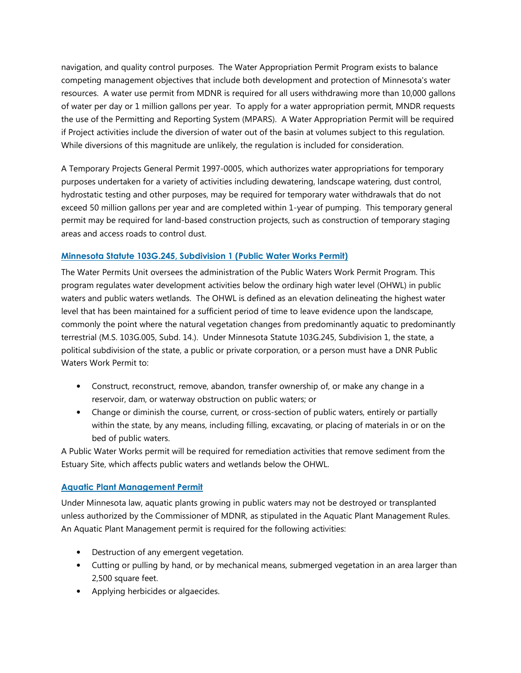navigation, and quality control purposes. The Water Appropriation Permit Program exists to balance competing management objectives that include both development and protection of Minnesota's water resources. A water use permit from MDNR is required for all users withdrawing more than 10,000 gallons of water per day or 1 million gallons per year. To apply for a water appropriation permit, MNDR requests the use of the Permitting and Reporting System (MPARS). A Water Appropriation Permit will be required if Project activities include the diversion of water out of the basin at volumes subject to this regulation. While diversions of this magnitude are unlikely, the regulation is included for consideration.

A Temporary Projects General Permit 1997-0005, which authorizes water appropriations for temporary purposes undertaken for a variety of activities including dewatering, landscape watering, dust control, hydrostatic testing and other purposes, may be required for temporary water withdrawals that do not exceed 50 million gallons per year and are completed within 1-year of pumping. This temporary general permit may be required for land-based construction projects, such as construction of temporary staging areas and access roads to control dust.

## Minnesota Statute 103G.245, Subdivision 1 (Public Water Works Permit)

The Water Permits Unit oversees the administration of the Public Waters Work Permit Program. This program regulates water development activities below the ordinary high water level (OHWL) in public waters and public waters wetlands. The OHWL is defined as an elevation delineating the highest water level that has been maintained for a sufficient period of time to leave evidence upon the landscape, commonly the point where the natural vegetation changes from predominantly aquatic to predominantly terrestrial (M.S. 103G.005, Subd. 14.). Under Minnesota Statute 103G.245, Subdivision 1, the state, a political subdivision of the state, a public or private corporation, or a person must have a DNR Public Waters Work Permit to:

- Construct, reconstruct, remove, abandon, transfer ownership of, or make any change in a reservoir, dam, or waterway obstruction on public waters; or
- Change or diminish the course, current, or cross-section of public waters, entirely or partially within the state, by any means, including filling, excavating, or placing of materials in or on the bed of public waters.

A Public Water Works permit will be required for remediation activities that remove sediment from the Estuary Site, which affects public waters and wetlands below the OHWL.

#### Aquatic Plant Management Permit

Under Minnesota law, aquatic plants growing in public waters may not be destroyed or transplanted unless authorized by the Commissioner of MDNR, as stipulated in the Aquatic Plant Management Rules. An Aquatic Plant Management permit is required for the following activities:

- Destruction of any emergent vegetation.
- Cutting or pulling by hand, or by mechanical means, submerged vegetation in an area larger than 2,500 square feet.
- Applying herbicides or algaecides.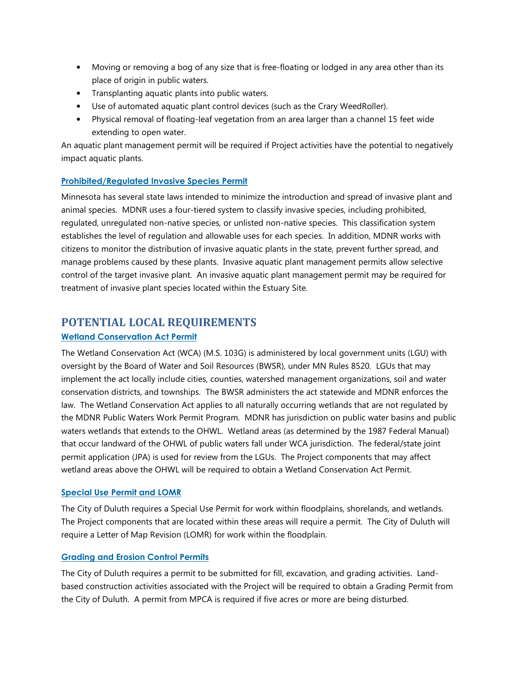- Moving or removing a bog of any size that is free-floating or lodged in any area other than its place of origin in public waters.
- Transplanting aquatic plants into public waters.
- Use of automated aquatic plant control devices (such as the Crary WeedRoller).
- Physical removal of floating-leaf vegetation from an area larger than a channel 15 feet wide extending to open water.

An aquatic plant management permit will be required if Project activities have the potential to negatively impact aquatic plants.

## Prohibited/Regulated Invasive Species Permit

Minnesota has several state laws intended to minimize the introduction and spread of invasive plant and animal species. MDNR uses a four-tiered system to classify invasive species, including prohibited, regulated, unregulated non-native species, or unlisted non-native species. This classification system establishes the level of regulation and allowable uses for each species. In addition, MDNR works with citizens to monitor the distribution of invasive aquatic plants in the state, prevent further spread, and manage problems caused by these plants. Invasive aquatic plant management permits allow selective control of the target invasive plant. An invasive aquatic plant management permit may be required for treatment of invasive plant species located within the Estuary Site.

## POTENTIAL LOCAL REQUIREMENTS

## Wetland Conservation Act Permit

The Wetland Conservation Act (WCA) (M.S. 103G) is administered by local government units (LGU) with oversight by the Board of Water and Soil Resources (BWSR), under MN Rules 8520. LGUs that may implement the act locally include cities, counties, watershed management organizations, soil and water conservation districts, and townships. The BWSR administers the act statewide and MDNR enforces the law. The Wetland Conservation Act applies to all naturally occurring wetlands that are not regulated by the MDNR Public Waters Work Permit Program. MDNR has jurisdiction on public water basins and public waters wetlands that extends to the OHWL. Wetland areas (as determined by the 1987 Federal Manual) that occur landward of the OHWL of public waters fall under WCA jurisdiction. The federal/state joint permit application (JPA) is used for review from the LGUs. The Project components that may affect wetland areas above the OHWL will be required to obtain a Wetland Conservation Act Permit.

## Special Use Permit and LOMR

The City of Duluth requires a Special Use Permit for work within floodplains, shorelands, and wetlands. The Project components that are located within these areas will require a permit. The City of Duluth will require a Letter of Map Revision (LOMR) for work within the floodplain.

## Grading and Erosion Control Permits

The City of Duluth requires a permit to be submitted for fill, excavation, and grading activities. Landbased construction activities associated with the Project will be required to obtain a Grading Permit from the City of Duluth. A permit from MPCA is required if five acres or more are being disturbed.